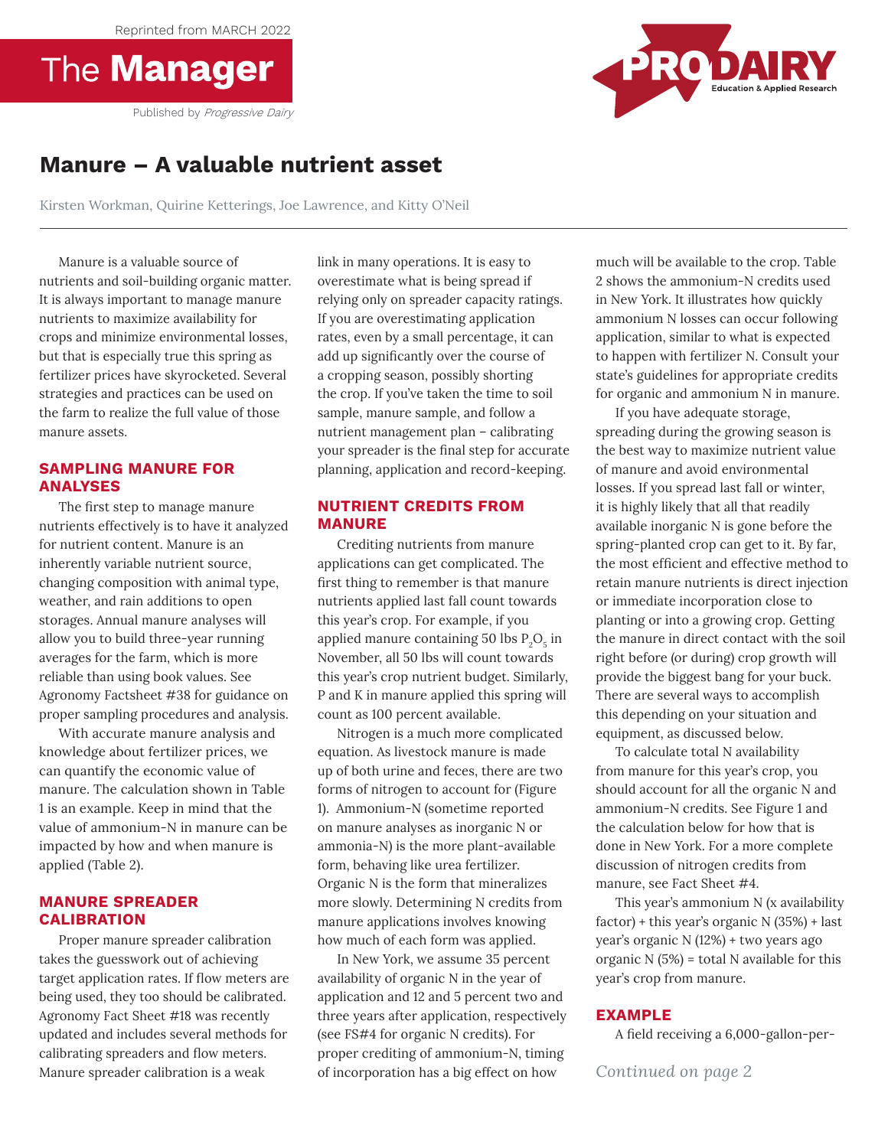Reprinted from MARCH 2022





# **Manure – A valuable nutrient asset**

Kirsten Workman, Quirine Ketterings, Joe Lawrence, and Kitty O'Neil

Manure is a valuable source of nutrients and soil-building organic matter. It is always important to manage manure nutrients to maximize availability for crops and minimize environmental losses, but that is especially true this spring as fertilizer prices have skyrocketed. Several strategies and practices can be used on the farm to realize the full value of those manure assets.

## **SAMPLING MANURE FOR ANALYSES**

The first step to manage manure nutrients effectively is to have it analyzed for nutrient content. Manure is an inherently variable nutrient source, changing composition with animal type, weather, and rain additions to open storages. Annual manure analyses will allow you to build three-year running averages for the farm, which is more reliable than using book values. See Agronomy Factsheet #38 for guidance on proper sampling procedures and analysis.

With accurate manure analysis and knowledge about fertilizer prices, we can quantify the economic value of manure. The calculation shown in Table 1 is an example. Keep in mind that the value of ammonium-N in manure can be impacted by how and when manure is applied (Table 2).

### **MANURE SPREADER CALIBRATION**

Proper manure spreader calibration takes the guesswork out of achieving target application rates. If flow meters are being used, they too should be calibrated. Agronomy Fact Sheet #18 was recently updated and includes several methods for calibrating spreaders and flow meters. Manure spreader calibration is a weak

link in many operations. It is easy to overestimate what is being spread if relying only on spreader capacity ratings. If you are overestimating application rates, even by a small percentage, it can add up significantly over the course of a cropping season, possibly shorting the crop. If you've taken the time to soil sample, manure sample, and follow a nutrient management plan – calibrating your spreader is the final step for accurate planning, application and record-keeping.

# **NUTRIENT CREDITS FROM MANURE**

Crediting nutrients from manure applications can get complicated. The first thing to remember is that manure nutrients applied last fall count towards this year's crop. For example, if you applied manure containing 50 lbs  $P_2O_5$  in November, all 50 lbs will count towards this year's crop nutrient budget. Similarly, P and K in manure applied this spring will count as 100 percent available.

Nitrogen is a much more complicated equation. As livestock manure is made up of both urine and feces, there are two forms of nitrogen to account for (Figure 1). Ammonium-N (sometime reported on manure analyses as inorganic N or ammonia-N) is the more plant-available form, behaving like urea fertilizer. Organic N is the form that mineralizes more slowly. Determining N credits from manure applications involves knowing how much of each form was applied.

In New York, we assume 35 percent availability of organic N in the year of application and 12 and 5 percent two and three years after application, respectively (see FS#4 for organic N credits). For proper crediting of ammonium-N, timing of incorporation has a big effect on how

much will be available to the crop. Table 2 shows the ammonium-N credits used in New York. It illustrates how quickly ammonium N losses can occur following application, similar to what is expected to happen with fertilizer N. Consult your state's guidelines for appropriate credits for organic and ammonium N in manure.

If you have adequate storage, spreading during the growing season is the best way to maximize nutrient value of manure and avoid environmental losses. If you spread last fall or winter, it is highly likely that all that readily available inorganic N is gone before the spring-planted crop can get to it. By far, the most efficient and effective method to retain manure nutrients is direct injection or immediate incorporation close to planting or into a growing crop. Getting the manure in direct contact with the soil right before (or during) crop growth will provide the biggest bang for your buck. There are several ways to accomplish this depending on your situation and equipment, as discussed below.

To calculate total N availability from manure for this year's crop, you should account for all the organic N and ammonium-N credits. See Figure 1 and the calculation below for how that is done in New York. For a more complete discussion of nitrogen credits from manure, see Fact Sheet #4.

This year's ammonium N (x availability factor) + this year's organic N (35%) + last year's organic N (12%) + two years ago organic  $N(5%) =$  total  $N$  available for this year's crop from manure.

## **EXAMPLE**

A field receiving a 6,000-gallon-per-

*Continued on page 2*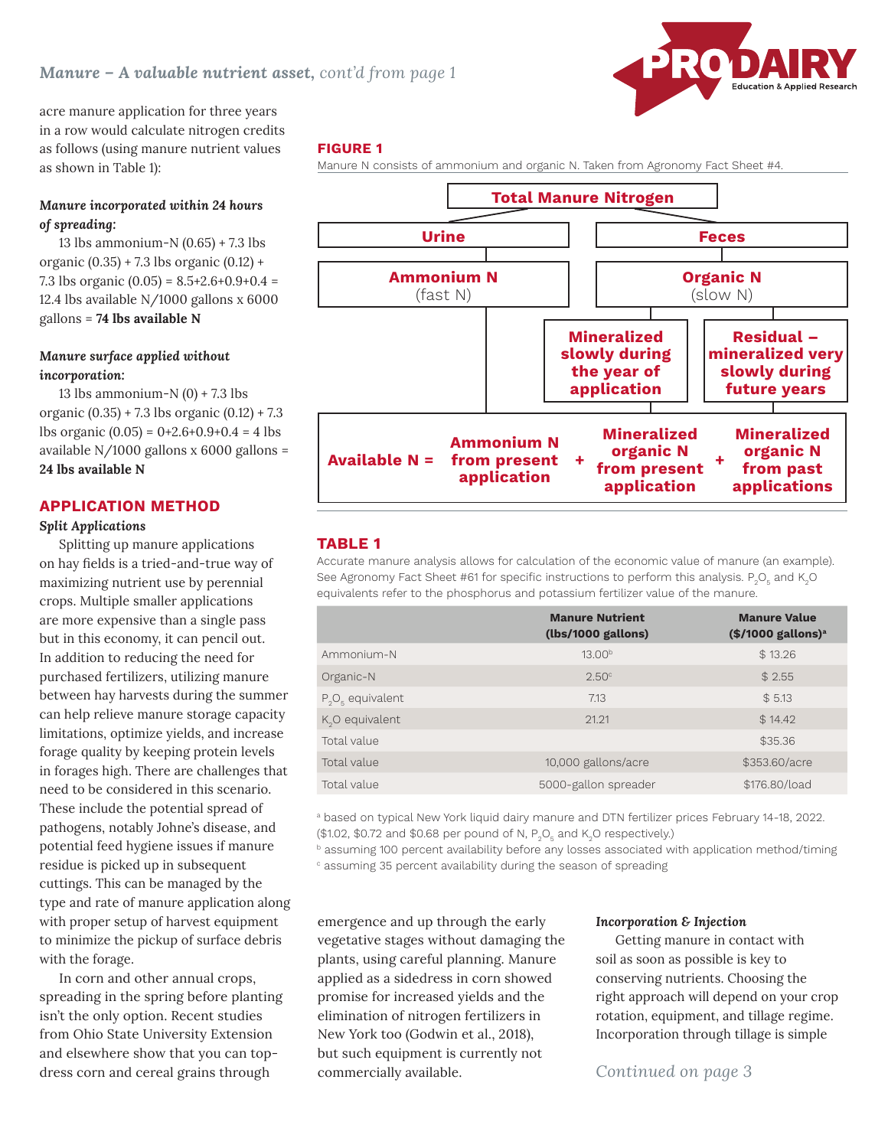

acre manure application for three years in a row would calculate nitrogen credits as follows (using manure nutrient values as shown in Table 1):

# *Manure incorporated within 24 hours of spreading:*

13 lbs ammonium-N (0.65) + 7.3 lbs organic  $(0.35) + 7.3$  lbs organic  $(0.12) +$ 7.3 lbs organic  $(0.05) = 8.5 + 2.6 + 0.9 + 0.4 =$ 12.4 lbs available N/1000 gallons x 6000 gallons = **74 lbs available N**  $^{7,0}$  100 or game (0.00) = 0.0  $^{12}$ 

# *Manure surface applied without incorporation:*

13 lbs ammonium-N $(0) + 7.3$  lbs organic (0.35) + 7.3 lbs organic (0.12) + 7.3 lbs organic  $(0.05) = 0+2.6+0.9+0.4 = 4$  lbs available N/1000 gallons x 6000 gallons = **24 lbs available N**

# **APPLICATION METHOD**

### *Split Applications*

Splitting up manure applications on hay fields is a tried-and-true way of maximizing nutrient use by perennial crops. Multiple smaller applications are more expensive than a single pass but in this economy, it can pencil out. In addition to reducing the need for purchased fertilizers, utilizing manure between hay harvests during the summer can help relieve manure storage capacity limitations, optimize yields, and increase forage quality by keeping protein levels in forages high. There are challenges that need to be considered in this scenario. These include the potential spread of pathogens, notably Johne's disease, and potential feed hygiene issues if manure residue is picked up in subsequent cuttings. This can be managed by the type and rate of manure application along with proper setup of harvest equipment to minimize the pickup of surface debris with the forage.

In corn and other annual crops, spreading in the spring before planting isn't the only option. Recent studies from Ohio State University Extension and elsewhere show that you can topdress corn and cereal grains through

### **FIGURE 1**

Manure N consists of ammonium and organic N. Taken from Agronomy Fact Sheet #4.



## **TABLE 1**

Accurate manure analysis allows for calculation of the economic value of manure (an example). See Agronomy Fact Sheet #61 for specific instructions to perform this analysis.  $\text{P}_\text{2}\text{O}_\text{5}$  and K $_\text{2}$ O equivalents refer to the phosphorus and potassium fertilizer value of the manure.

|                              | <b>Manure Nutrient</b><br>(lbs/1000 gallons) | <b>Manure Value</b><br>$($/1000$ gallons) <sup>a</sup> |
|------------------------------|----------------------------------------------|--------------------------------------------------------|
| Ammonium-N                   | 13.00 <sup>b</sup>                           | \$13.26                                                |
| Organic-N                    | 2.50 <sup>c</sup>                            | \$2.55                                                 |
| $P_2O_{\epsilon}$ equivalent | 7.13                                         | \$5.13                                                 |
| $K2O$ equivalent             | 21.21                                        | \$14.42                                                |
| Total value                  |                                              | \$35.36                                                |
| Total value                  | 10,000 gallons/acre                          | \$353.60/acre                                          |
| Total value                  | 5000-gallon spreader                         | \$176.80/load                                          |
|                              |                                              |                                                        |

a based on typical New York liquid dairy manure and DTN fertilizer prices February 14-18, 2022.  $($ \$1.02, \$0.72 and \$0.68 per pound of N, P<sub>2</sub>O<sub>5</sub> and K<sub>2</sub>O respectively.)

 $b$  assuming 100 percent availability before any losses associated with application method/timing

c assuming 35 percent availability during the season of spreading

emergence and up through the early vegetative stages without damaging the plants, using careful planning. Manure applied as a sidedress in corn showed promise for increased yields and the elimination of nitrogen fertilizers in New York too (Godwin et al., 2018), but such equipment is currently not commercially available.

#### *Incorporation & Injection*

Getting manure in contact with soil as soon as possible is key to conserving nutrients. Choosing the right approach will depend on your crop rotation, equipment, and tillage regime. Incorporation through tillage is simple

# *Continued on page 3*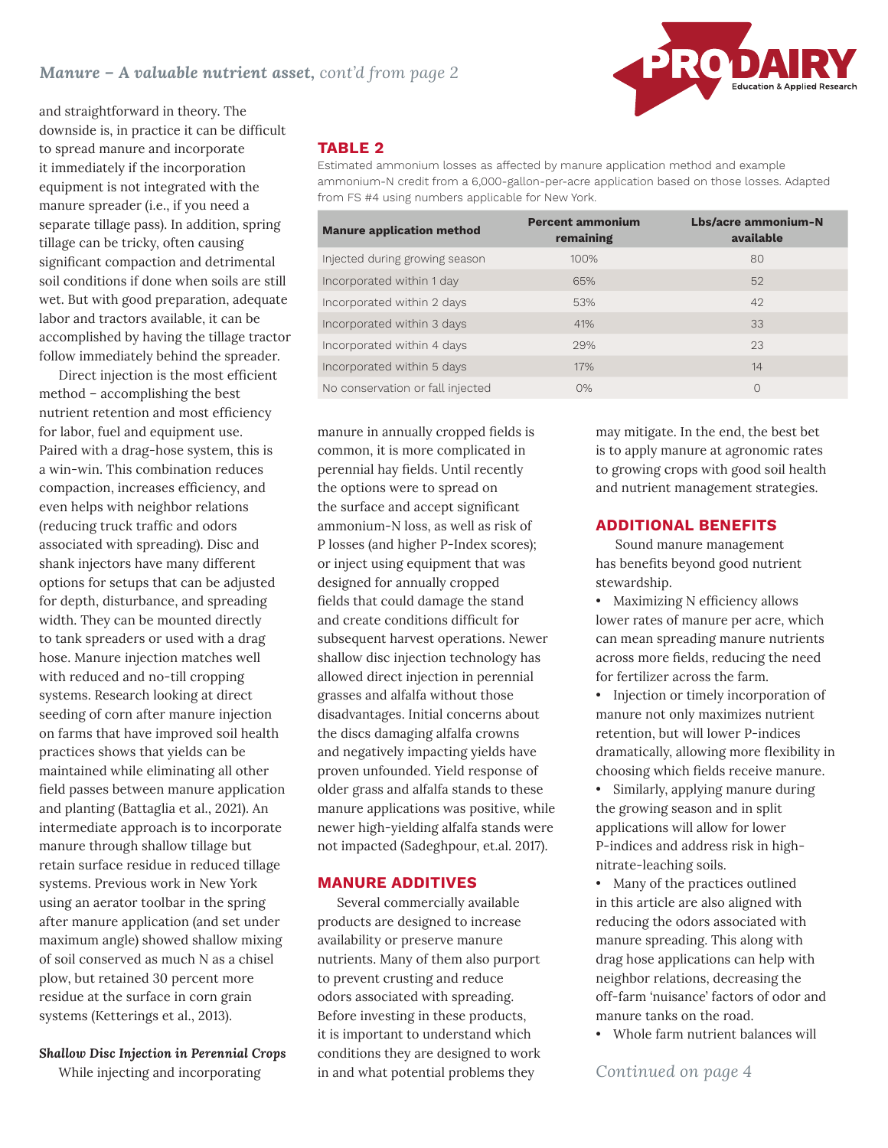

and straightforward in theory. The downside is, in practice it can be difficult to spread manure and incorporate it immediately if the incorporation equipment is not integrated with the manure spreader (i.e., if you need a separate tillage pass). In addition, spring tillage can be tricky, often causing significant compaction and detrimental soil conditions if done when soils are still wet. But with good preparation, adequate labor and tractors available, it can be accomplished by having the tillage tractor follow immediately behind the spreader.

Direct injection is the most efficient method – accomplishing the best nutrient retention and most efficiency for labor, fuel and equipment use. Paired with a drag-hose system, this is a win-win. This combination reduces compaction, increases efficiency, and even helps with neighbor relations (reducing truck traffic and odors associated with spreading). Disc and shank injectors have many different options for setups that can be adjusted for depth, disturbance, and spreading width. They can be mounted directly to tank spreaders or used with a drag hose. Manure injection matches well with reduced and no-till cropping systems. Research looking at direct seeding of corn after manure injection on farms that have improved soil health practices shows that yields can be maintained while eliminating all other field passes between manure application and planting (Battaglia et al., 2021). An intermediate approach is to incorporate manure through shallow tillage but retain surface residue in reduced tillage systems. Previous work in New York using an aerator toolbar in the spring after manure application (and set under maximum angle) showed shallow mixing of soil conserved as much N as a chisel plow, but retained 30 percent more residue at the surface in corn grain systems (Ketterings et al., 2013).

# *Shallow Disc Injection in Perennial Crops*

While injecting and incorporating

# **TABLE 2**

Estimated ammonium losses as affected by manure application method and example ammonium-N credit from a 6,000-gallon-per-acre application based on those losses. Adapted from FS #4 using numbers applicable for New York.

| <b>Manure application method</b> | <b>Percent ammonium</b><br>remaining | Lbs/acre ammonium-N<br>available |
|----------------------------------|--------------------------------------|----------------------------------|
| Injected during growing season   | 100%                                 | 80                               |
| Incorporated within 1 day        | 65%                                  | 52                               |
| Incorporated within 2 days       | 53%                                  | 42                               |
| Incorporated within 3 days       | 41%                                  | 33                               |
| Incorporated within 4 days       | 29%                                  | 23                               |
| Incorporated within 5 days       | 17%                                  | 14                               |
| No conservation or fall injected | O%                                   | 0                                |

manure in annually cropped fields is common, it is more complicated in perennial hay fields. Until recently the options were to spread on the surface and accept significant ammonium-N loss, as well as risk of P losses (and higher P-Index scores); or inject using equipment that was designed for annually cropped fields that could damage the stand and create conditions difficult for subsequent harvest operations. Newer shallow disc injection technology has allowed direct injection in perennial grasses and alfalfa without those disadvantages. Initial concerns about the discs damaging alfalfa crowns and negatively impacting yields have proven unfounded. Yield response of older grass and alfalfa stands to these manure applications was positive, while newer high-yielding alfalfa stands were not impacted (Sadeghpour, et.al. 2017).

#### **MANURE ADDITIVES**

Several commercially available products are designed to increase availability or preserve manure nutrients. Many of them also purport to prevent crusting and reduce odors associated with spreading. Before investing in these products, it is important to understand which conditions they are designed to work in and what potential problems they

may mitigate. In the end, the best bet is to apply manure at agronomic rates to growing crops with good soil health and nutrient management strategies.

### **ADDITIONAL BENEFITS**

Sound manure management has benefits beyond good nutrient stewardship.

 $\bullet$  Maximizing N efficiency allows lower rates of manure per acre, which can mean spreading manure nutrients across more fields, reducing the need for fertilizer across the farm. the farm.

• Injection or timely incorporation of manure not only maximizes nutrient retention, but will lower P-indices dramatically, allowing more flexibility in choosing which fields receive manure. mantic not only maximizes huttie

• Similarly, applying manure during Similarly, applying manure during the growing the growing season and in split applications will allow for lower P-indices and address risk in highnitrate-leaching soils.

• Many of the practices outlined in this article are also aligned with reducing the odors associated with manure spreading. This along with drag hose applications can help with neighbor relations, decreasing the off-farm 'nuisance' factors of odor and manure tanks on the road.

• Whole farm nutrient balances will where farm hun

*Continued on page 4*